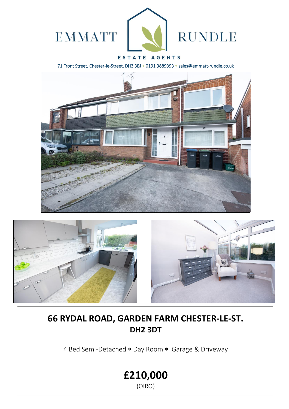

## ESTATE AGENTS

71 Front Street, Chester-le-Street, DH3 3BJ \* 0191 3889393 \* sales@emmatt-rundle.co.uk





# **66 RYDAL ROAD, GARDEN FARM CHESTER-LE-ST. DH2 3DT**

4 Bed Semi-Detached \* Day Room \* Garage & Driveway

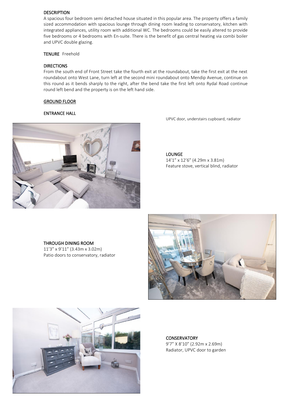### DESCRIPTION

A spacious four bedroom semi detached house situated in this popular area. The property offers a family sized accommodation with spacious lounge through dining room leading to conservatory, kitchen with integrated appliances, utility room with additional WC. The bedrooms could be easily altered to provide five bedrooms or 4 bedrooms with En-suite. There is the benefit of gas central heating via combi boiler and UPVC double glazing.

TENURE Freehold

### DIRECTIONS

From the south end of Front Street take the fourth exit at the roundabout, take the first exit at the next roundabout onto West Lane, turn left at the second mini roundabout onto Mendip Avenue, continue on this round as it bends sharply to the right, after the bend take the first left onto Rydal Road continue round left bend and the property is on the left hand side.

### GROUND FLOOR

### ENTRANCE HALL



UPVC door, understairs cupboard, radiator

LOUNGE 14'1" x 12'6" (4.29m x 3.81m) Feature stove, vertical blind, radiator

### THROUGH DINING ROOM 11'3" x 9'11" (3.43m x 3.02m) Patio doors to conservatory, radiator





**CONSERVATORY** 9'7" X 8'10" (2.92m x 2.69m) Radiator, UPVC door to garden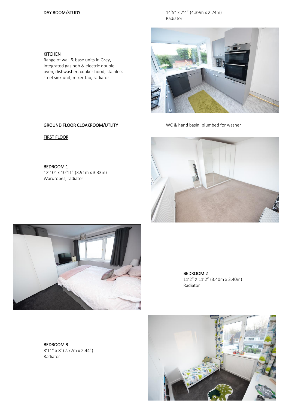### DAY ROOM/STUDY 14'5" x 7'4" (4.39m x 2.24m) Radiator



Range of wall & base units in Grey, integrated gas hob & electric double oven, dishwasher, cooker hood, stainless steel sink unit, mixer tap, radiator



GROUND FLOOR CLOAKROOM/UTLITY WC & hand basin, plumbed for washer

### FIRST FLOOR

BEDROOM 1 12'10" x 10'11" (3.91m x 3.33m) Wardrobes, radiator





BEDROOM 2 11'2" X 11'2" (3.40m x 3.40m) Radiator

BEDROOM 3 8'11" x 8' (2.72m x 2.44") Radiator